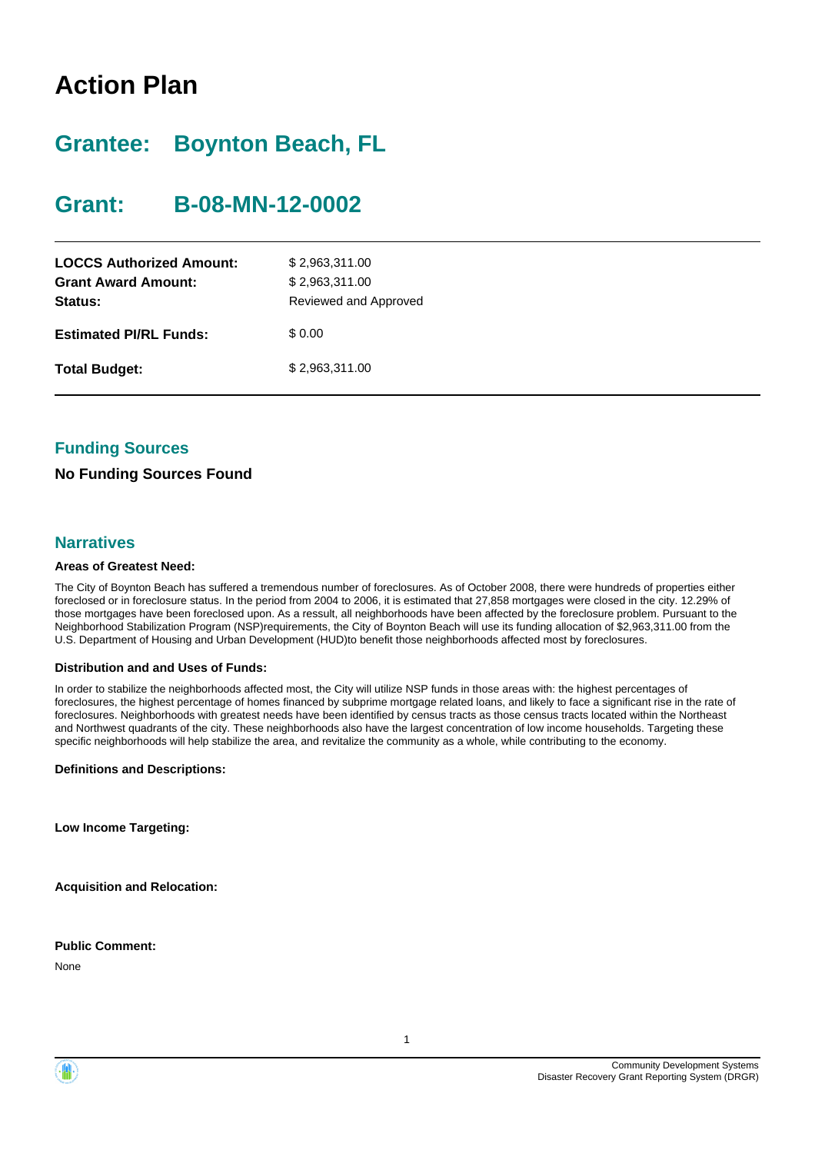# **Action Plan**

# **Grantee: Boynton Beach, FL**

# **Grant: B-08-MN-12-0002**

| <b>LOCCS Authorized Amount:</b><br><b>Grant Award Amount:</b><br>Status: | \$2,963,311.00<br>\$2,963,311.00<br>Reviewed and Approved |
|--------------------------------------------------------------------------|-----------------------------------------------------------|
| <b>Estimated PI/RL Funds:</b>                                            | \$0.00                                                    |
| <b>Total Budget:</b>                                                     | \$2,963,311.00                                            |

## **Funding Sources**

## **No Funding Sources Found**

## **Narratives**

#### **Areas of Greatest Need:**

The City of Boynton Beach has suffered a tremendous number of foreclosures. As of October 2008, there were hundreds of properties either foreclosed or in foreclosure status. In the period from 2004 to 2006, it is estimated that 27,858 mortgages were closed in the city. 12.29% of those mortgages have been foreclosed upon. As a ressult, all neighborhoods have been affected by the foreclosure problem. Pursuant to the Neighborhood Stabilization Program (NSP)requirements, the City of Boynton Beach will use its funding allocation of \$2,963,311.00 from the U.S. Department of Housing and Urban Development (HUD)to benefit those neighborhoods affected most by foreclosures.

#### **Distribution and and Uses of Funds:**

In order to stabilize the neighborhoods affected most, the City will utilize NSP funds in those areas with: the highest percentages of foreclosures, the highest percentage of homes financed by subprime mortgage related loans, and likely to face a significant rise in the rate of foreclosures. Neighborhoods with greatest needs have been identified by census tracts as those census tracts located within the Northeast and Northwest quadrants of the city. These neighborhoods also have the largest concentration of low income households. Targeting these specific neighborhoods will help stabilize the area, and revitalize the community as a whole, while contributing to the economy.

#### **Definitions and Descriptions:**

**Low Income Targeting:**

**Acquisition and Relocation:**

**Public Comment:**

None



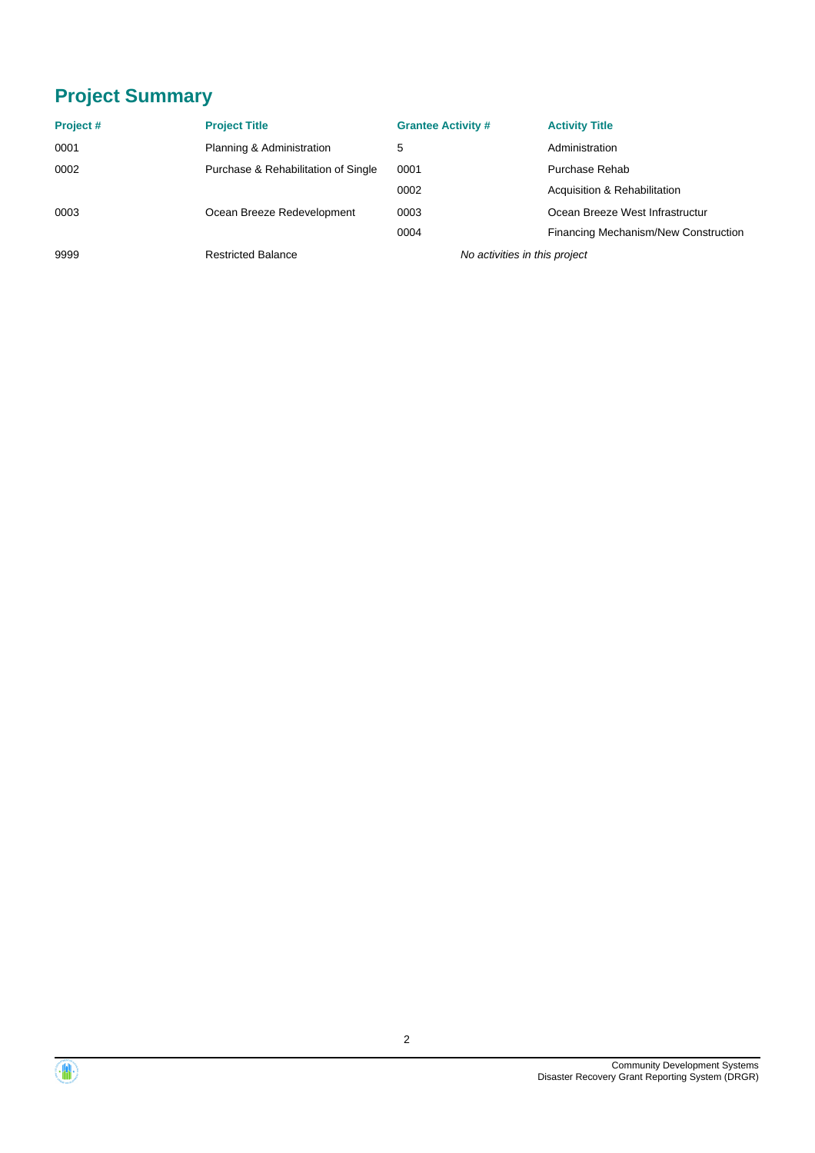# **Project Summary**

| Project# | <b>Project Title</b>                | <b>Grantee Activity #</b>     | <b>Activity Title</b>                |
|----------|-------------------------------------|-------------------------------|--------------------------------------|
| 0001     | Planning & Administration           | 5                             | Administration                       |
| 0002     | Purchase & Rehabilitation of Single | 0001                          | Purchase Rehab                       |
|          |                                     | 0002                          | Acquisition & Rehabilitation         |
| 0003     | Ocean Breeze Redevelopment          | 0003                          | Ocean Breeze West Infrastructur      |
|          |                                     | 0004                          | Financing Mechanism/New Construction |
| 9999     | <b>Restricted Balance</b>           | No activities in this project |                                      |



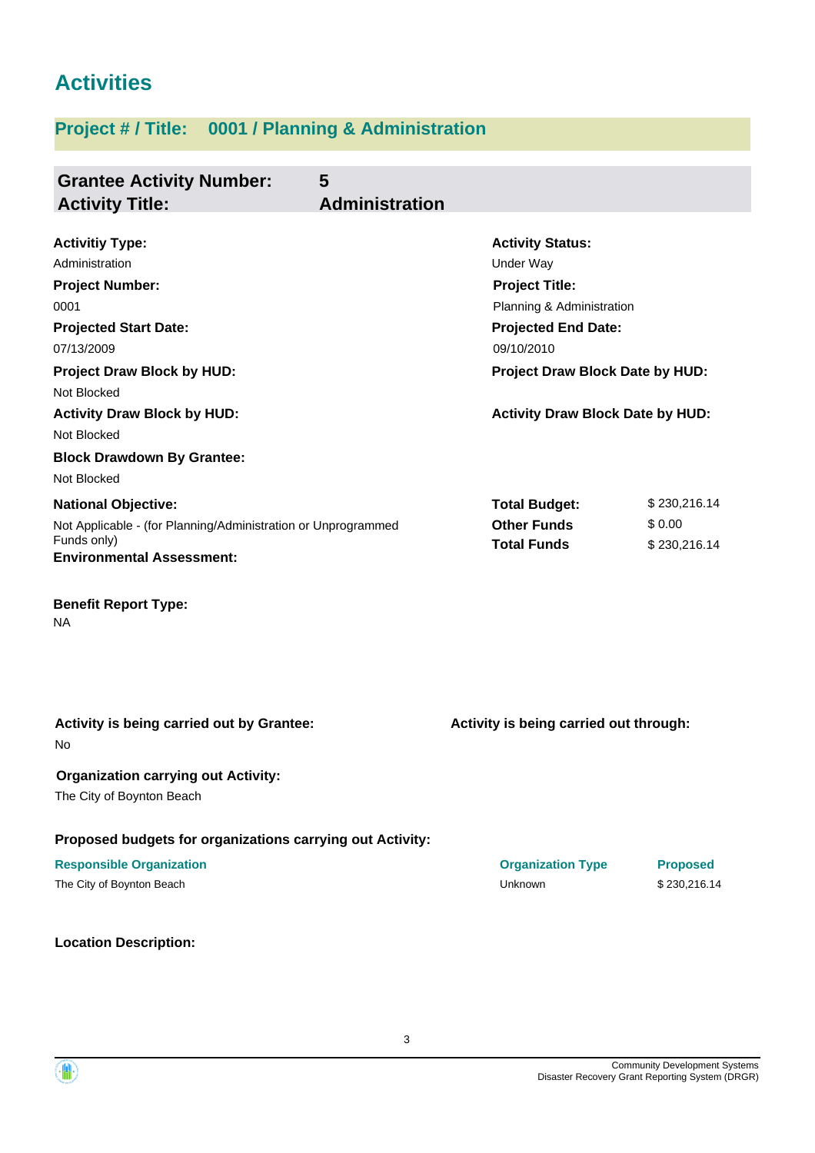# **Activities**

# **Project # / Title: 0001 / Planning & Administration**

| <b>Grantee Activity Number:</b>                               | 5                     |                                          |                 |
|---------------------------------------------------------------|-----------------------|------------------------------------------|-----------------|
| <b>Activity Title:</b>                                        | <b>Administration</b> |                                          |                 |
|                                                               |                       |                                          |                 |
| <b>Activitiy Type:</b>                                        |                       | <b>Activity Status:</b>                  |                 |
| Administration                                                |                       | Under Way                                |                 |
| <b>Project Number:</b>                                        |                       | <b>Project Title:</b>                    |                 |
| 0001                                                          |                       | Planning & Administration                |                 |
| <b>Projected Start Date:</b><br>07/13/2009                    |                       | <b>Projected End Date:</b><br>09/10/2010 |                 |
| <b>Project Draw Block by HUD:</b>                             |                       | Project Draw Block Date by HUD:          |                 |
| Not Blocked                                                   |                       |                                          |                 |
| <b>Activity Draw Block by HUD:</b>                            |                       | <b>Activity Draw Block Date by HUD:</b>  |                 |
| Not Blocked                                                   |                       |                                          |                 |
| <b>Block Drawdown By Grantee:</b>                             |                       |                                          |                 |
| Not Blocked                                                   |                       |                                          |                 |
| <b>National Objective:</b>                                    |                       | <b>Total Budget:</b>                     | \$230,216.14    |
| Not Applicable - (for Planning/Administration or Unprogrammed |                       | <b>Other Funds</b>                       | \$0.00          |
| Funds only)                                                   |                       | <b>Total Funds</b>                       | \$230,216.14    |
| <b>Environmental Assessment:</b>                              |                       |                                          |                 |
|                                                               |                       |                                          |                 |
| <b>Benefit Report Type:</b><br>ΝA                             |                       |                                          |                 |
|                                                               |                       |                                          |                 |
|                                                               |                       |                                          |                 |
|                                                               |                       |                                          |                 |
| Activity is being carried out by Grantee:                     |                       | Activity is being carried out through:   |                 |
| No.                                                           |                       |                                          |                 |
| <b>Organization carrying out Activity:</b>                    |                       |                                          |                 |
| The City of Boynton Beach                                     |                       |                                          |                 |
| Proposed budgets for organizations carrying out Activity:     |                       |                                          |                 |
| <b>Responsible Organization</b>                               |                       | <b>Organization Type</b>                 | <b>Proposed</b> |
| The City of Boynton Beach                                     |                       | Unknown                                  | \$230,216.14    |
|                                                               |                       |                                          |                 |

**Location Description:**

Community Development Systems Disaster Recovery Grant Reporting System (DRGR)

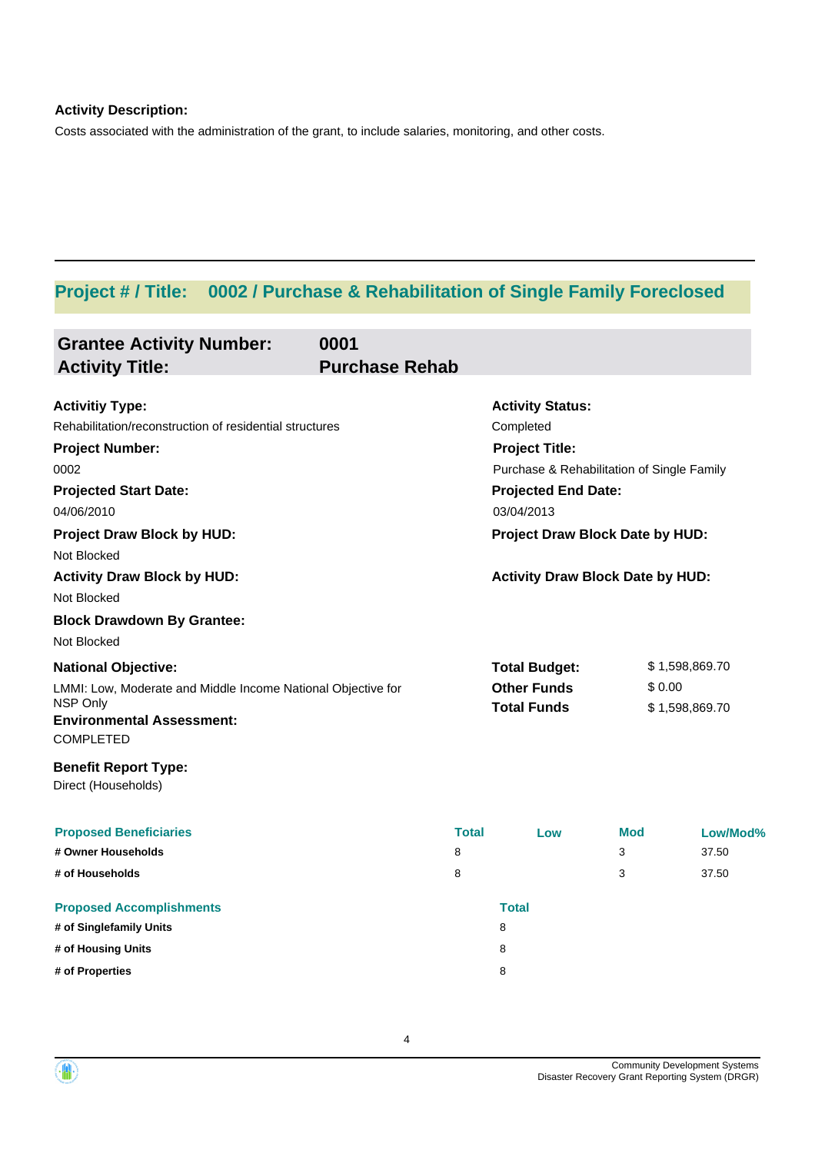## **Activity Description:**

Costs associated with the administration of the grant, to include salaries, monitoring, and other costs.

# **Project # / Title: 0002 / Purchase & Rehabilitation of Single Family Foreclosed**

| <b>Grantee Activity Number:</b><br><b>Activity Title:</b>    | 0001<br><b>Purchase Rehab</b> |              |                                            |            |                |
|--------------------------------------------------------------|-------------------------------|--------------|--------------------------------------------|------------|----------------|
| <b>Activitiy Type:</b>                                       |                               |              | <b>Activity Status:</b>                    |            |                |
| Rehabilitation/reconstruction of residential structures      |                               |              | Completed                                  |            |                |
| <b>Project Number:</b>                                       |                               |              | <b>Project Title:</b>                      |            |                |
| 0002                                                         |                               |              | Purchase & Rehabilitation of Single Family |            |                |
| <b>Projected Start Date:</b><br>04/06/2010                   |                               |              | <b>Projected End Date:</b><br>03/04/2013   |            |                |
| <b>Project Draw Block by HUD:</b>                            |                               |              | Project Draw Block Date by HUD:            |            |                |
| Not Blocked                                                  |                               |              |                                            |            |                |
| <b>Activity Draw Block by HUD:</b>                           |                               |              | <b>Activity Draw Block Date by HUD:</b>    |            |                |
| Not Blocked                                                  |                               |              |                                            |            |                |
| <b>Block Drawdown By Grantee:</b>                            |                               |              |                                            |            |                |
| Not Blocked                                                  |                               |              |                                            |            |                |
| <b>National Objective:</b>                                   |                               |              | <b>Total Budget:</b>                       |            | \$1,598,869.70 |
| LMMI: Low, Moderate and Middle Income National Objective for |                               |              | <b>Other Funds</b><br>\$0.00               |            |                |
| NSP Only                                                     |                               |              | <b>Total Funds</b><br>\$1,598,869.70       |            |                |
| <b>Environmental Assessment:</b><br><b>COMPLETED</b>         |                               |              |                                            |            |                |
| <b>Benefit Report Type:</b><br>Direct (Households)           |                               |              |                                            |            |                |
| <b>Proposed Beneficiaries</b>                                |                               | <b>Total</b> | Low                                        | <b>Mod</b> | Low/Mod%       |
| # Owner Households                                           |                               | 8            |                                            | 3          | 37.50          |
| # of Households                                              |                               | 8            |                                            | 3          | 37.50          |
| <b>Proposed Accomplishments</b>                              |                               |              | <b>Total</b>                               |            |                |
| # of Singlefamily Units                                      |                               |              | 8                                          |            |                |
| # of Housing Units                                           |                               |              | 8                                          |            |                |
| # of Properties                                              |                               |              | 8                                          |            |                |

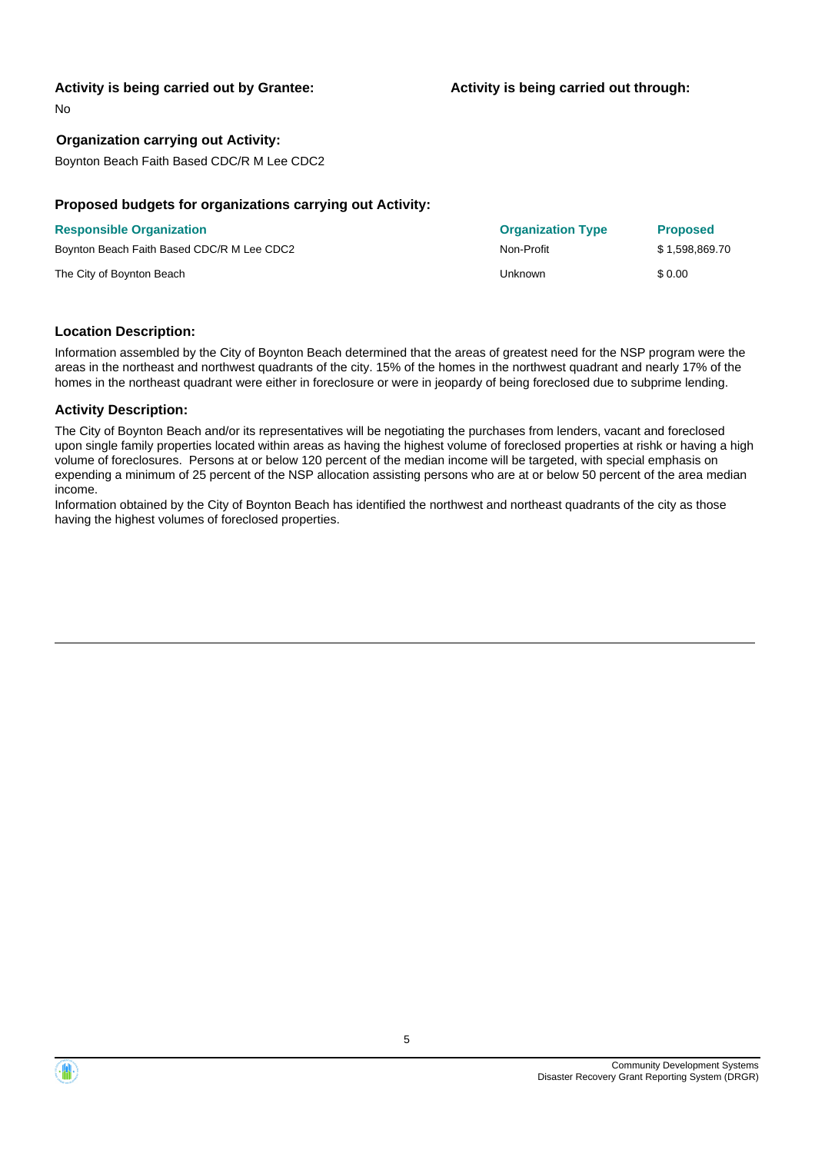### **Activity is being carried out by Grantee:**

No

### **Organization carrying out Activity:**

Boynton Beach Faith Based CDC/R M Lee CDC2

## **Proposed budgets for organizations carrying out Activity:**

| <b>Responsible Organization</b>            | <b>Organization Type</b> | <b>Proposed</b> |
|--------------------------------------------|--------------------------|-----------------|
| Boynton Beach Faith Based CDC/R M Lee CDC2 | Non-Profit               | \$1.598.869.70  |
| The City of Boynton Beach                  | Unknown                  | \$0.00          |

### **Location Description:**

Information assembled by the City of Boynton Beach determined that the areas of greatest need for the NSP program were the areas in the northeast and northwest quadrants of the city. 15% of the homes in the northwest quadrant and nearly 17% of the homes in the northeast quadrant were either in foreclosure or were in jeopardy of being foreclosed due to subprime lending.

#### **Activity Description:**

The City of Boynton Beach and/or its representatives will be negotiating the purchases from lenders, vacant and foreclosed upon single family properties located within areas as having the highest volume of foreclosed properties at rishk or having a high volume of foreclosures. Persons at or below 120 percent of the median income will be targeted, with special emphasis on expending a minimum of 25 percent of the NSP allocation assisting persons who are at or below 50 percent of the area median income.

Information obtained by the City of Boynton Beach has identified the northwest and northeast quadrants of the city as those having the highest volumes of foreclosed properties.

# **Activity is being carried out through:**

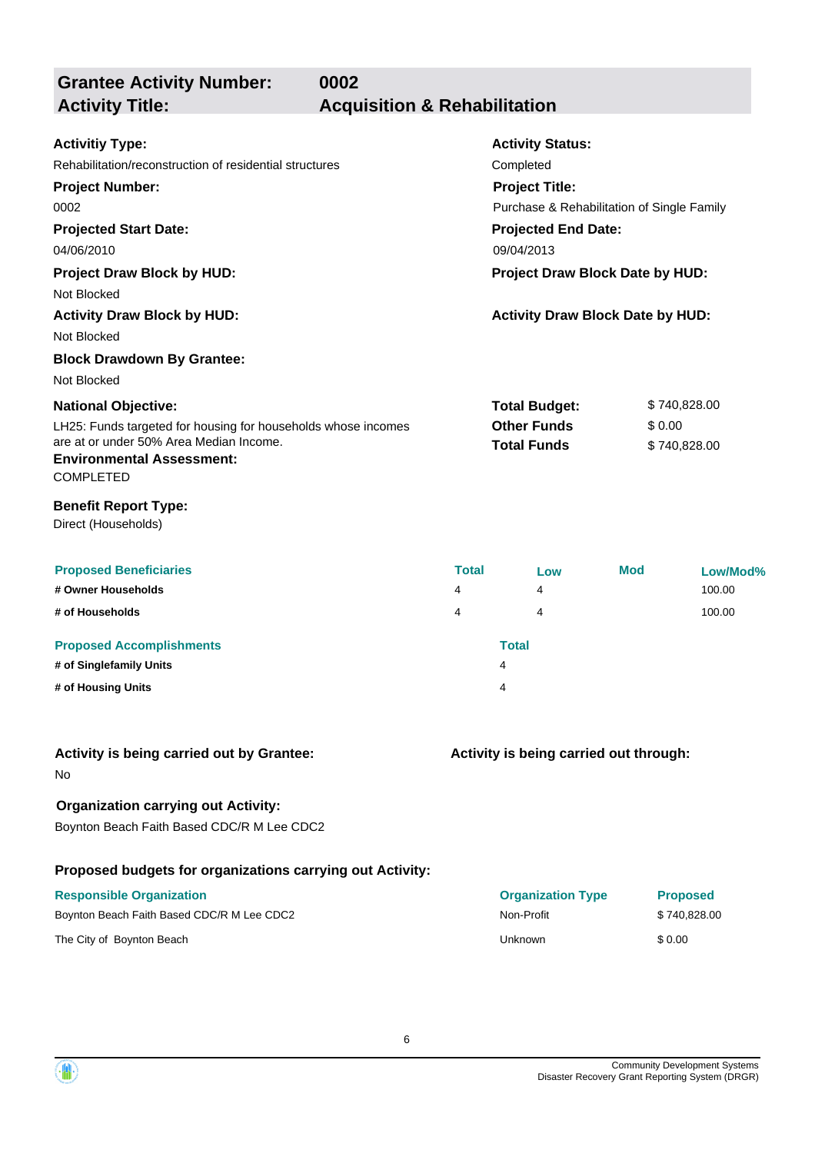| <b>Grantee Activity Number:</b>                                                                                                                                                                                                                                                                                 | 0002                                    |                        |                                                                                                                                                                                                                                       |            |                                        |                              |
|-----------------------------------------------------------------------------------------------------------------------------------------------------------------------------------------------------------------------------------------------------------------------------------------------------------------|-----------------------------------------|------------------------|---------------------------------------------------------------------------------------------------------------------------------------------------------------------------------------------------------------------------------------|------------|----------------------------------------|------------------------------|
| <b>Activity Title:</b>                                                                                                                                                                                                                                                                                          | <b>Acquisition &amp; Rehabilitation</b> |                        |                                                                                                                                                                                                                                       |            |                                        |                              |
| <b>Activitiy Type:</b><br>Rehabilitation/reconstruction of residential structures<br><b>Project Number:</b><br>0002<br><b>Projected Start Date:</b><br>04/06/2010<br><b>Project Draw Block by HUD:</b><br>Not Blocked<br><b>Activity Draw Block by HUD:</b><br>Not Blocked<br><b>Block Drawdown By Grantee:</b> |                                         |                        | <b>Activity Status:</b><br>Completed<br><b>Project Title:</b><br>Purchase & Rehabilitation of Single Family<br><b>Projected End Date:</b><br>09/04/2013<br>Project Draw Block Date by HUD:<br><b>Activity Draw Block Date by HUD:</b> |            |                                        |                              |
| Not Blocked<br><b>National Objective:</b><br>LH25: Funds targeted for housing for households whose incomes<br>are at or under 50% Area Median Income.<br><b>Environmental Assessment:</b><br><b>COMPLETED</b>                                                                                                   |                                         |                        | <b>Total Budget:</b><br><b>Other Funds</b><br><b>Total Funds</b>                                                                                                                                                                      |            | \$740,828.00<br>\$0.00<br>\$740,828.00 |                              |
| <b>Benefit Report Type:</b><br>Direct (Households)                                                                                                                                                                                                                                                              |                                         |                        |                                                                                                                                                                                                                                       |            |                                        |                              |
| <b>Proposed Beneficiaries</b><br># Owner Households<br># of Households                                                                                                                                                                                                                                          |                                         | <b>Total</b><br>4<br>4 | Low<br>4<br>4                                                                                                                                                                                                                         | <b>Mod</b> |                                        | Low/Mod%<br>100.00<br>100.00 |
| <b>Proposed Accomplishments</b><br># of Singlefamily Units<br># of Housing Units                                                                                                                                                                                                                                |                                         |                        | <b>Total</b><br>4                                                                                                                                                                                                                     |            |                                        |                              |
| Activity is being carried out by Grantee:<br>No                                                                                                                                                                                                                                                                 |                                         |                        | Activity is being carried out through:                                                                                                                                                                                                |            |                                        |                              |
| <b>Organization carrying out Activity:</b><br>Boynton Beach Faith Based CDC/R M Lee CDC2                                                                                                                                                                                                                        |                                         |                        |                                                                                                                                                                                                                                       |            |                                        |                              |
| Proposed budgets for organizations carrying out Activity:                                                                                                                                                                                                                                                       |                                         |                        |                                                                                                                                                                                                                                       |            |                                        |                              |
| <b>Responsible Organization</b><br>Boynton Beach Faith Based CDC/R M Lee CDC2                                                                                                                                                                                                                                   |                                         |                        | <b>Organization Type</b><br>Non-Profit                                                                                                                                                                                                |            | <b>Proposed</b><br>\$740,828.00        |                              |
| The City of Boynton Beach                                                                                                                                                                                                                                                                                       |                                         |                        | Unknown                                                                                                                                                                                                                               |            | \$0.00                                 |                              |

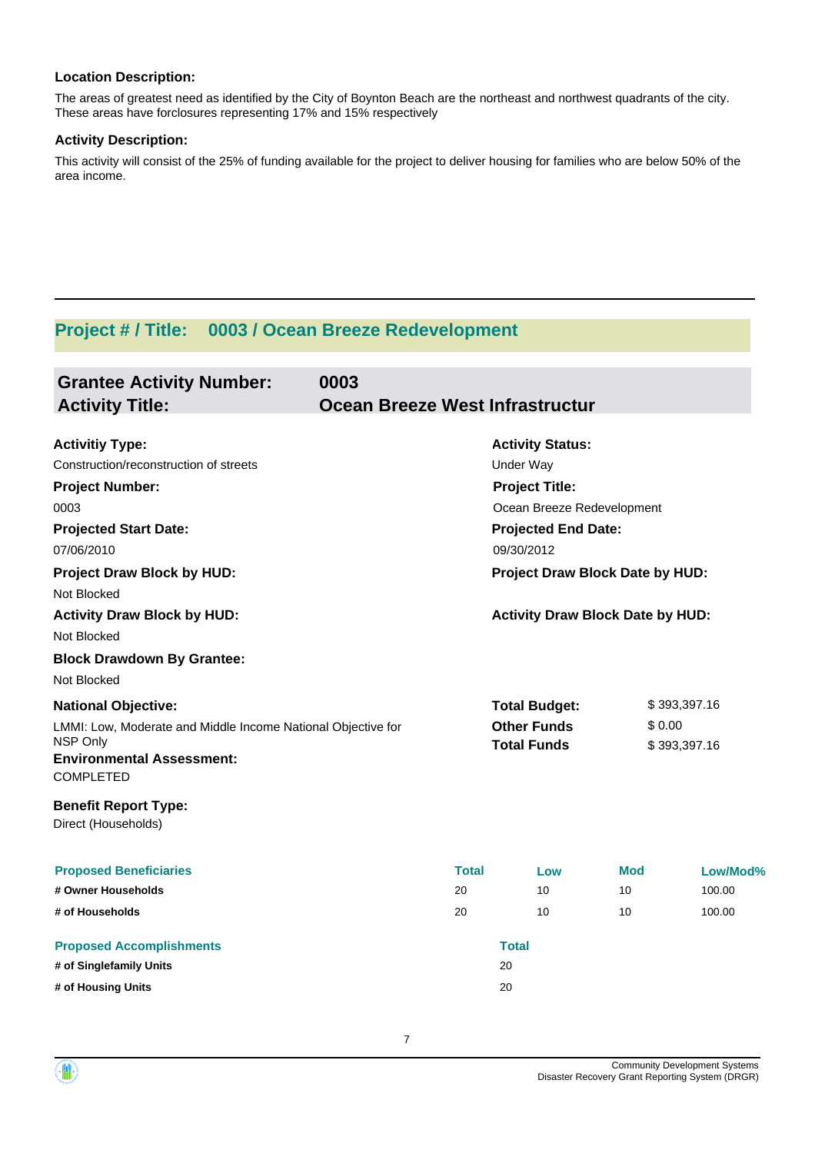## **Location Description:**

The areas of greatest need as identified by the City of Boynton Beach are the northeast and northwest quadrants of the city. These areas have forclosures representing 17% and 15% respectively

#### **Activity Description:**

This activity will consist of the 25% of funding available for the project to deliver housing for families who are below 50% of the area income.

## **Project # / Title: 0003 / Ocean Breeze Redevelopment**

| <b>Grantee Activity Number:</b><br><b>Activity Title:</b>                                                                                                                                                                                                 | 0003<br>Ocean Breeze West Infrastructur  |                                                                                                                                                                                                                              |                        |                              |  |
|-----------------------------------------------------------------------------------------------------------------------------------------------------------------------------------------------------------------------------------------------------------|------------------------------------------|------------------------------------------------------------------------------------------------------------------------------------------------------------------------------------------------------------------------------|------------------------|------------------------------|--|
| <b>Activitiy Type:</b><br>Construction/reconstruction of streets<br><b>Project Number:</b><br>0003<br><b>Projected Start Date:</b><br>07/06/2010<br><b>Project Draw Block by HUD:</b><br>Not Blocked<br><b>Activity Draw Block by HUD:</b><br>Not Blocked |                                          | <b>Activity Status:</b><br><b>Under Way</b><br><b>Project Title:</b><br>Ocean Breeze Redevelopment<br><b>Projected End Date:</b><br>09/30/2012<br>Project Draw Block Date by HUD:<br><b>Activity Draw Block Date by HUD:</b> |                        |                              |  |
| <b>Block Drawdown By Grantee:</b><br>Not Blocked<br><b>National Objective:</b>                                                                                                                                                                            |                                          | <b>Total Budget:</b>                                                                                                                                                                                                         |                        | \$393,397.16                 |  |
| LMMI: Low, Moderate and Middle Income National Objective for<br>NSP Only<br><b>Environmental Assessment:</b><br><b>COMPLETED</b>                                                                                                                          | <b>Other Funds</b><br><b>Total Funds</b> |                                                                                                                                                                                                                              |                        | \$0.00<br>\$393,397.16       |  |
| <b>Benefit Report Type:</b><br>Direct (Households)                                                                                                                                                                                                        |                                          |                                                                                                                                                                                                                              |                        |                              |  |
| <b>Proposed Beneficiaries</b><br># Owner Households<br># of Households                                                                                                                                                                                    | <b>Total</b><br>20<br>20                 | Low<br>10<br>10                                                                                                                                                                                                              | <b>Mod</b><br>10<br>10 | Low/Mod%<br>100.00<br>100.00 |  |
| <b>Proposed Accomplishments</b><br># of Singlefamily Units<br># of Housing Units                                                                                                                                                                          |                                          | <b>Total</b><br>20<br>20                                                                                                                                                                                                     |                        |                              |  |

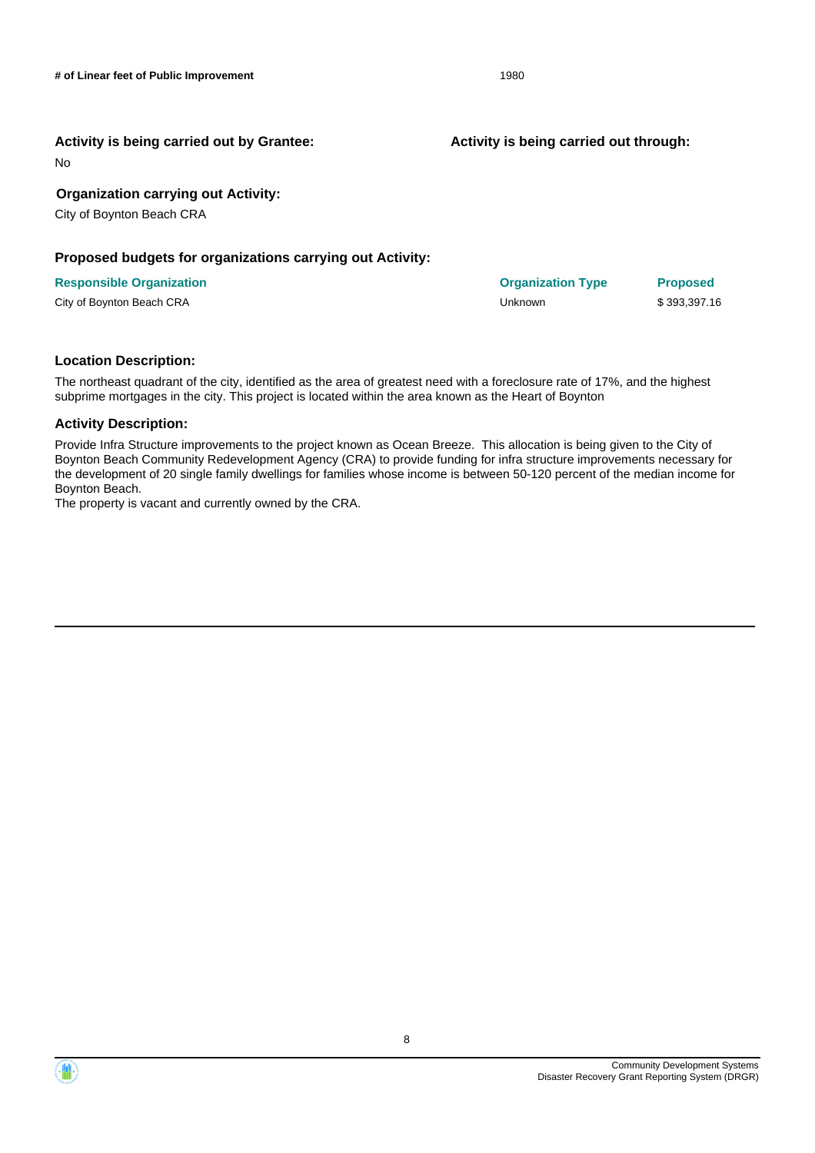#### **Activity is being carried out by Grantee:**

No

### **Organization carrying out Activity:**

City of Boynton Beach CRA

#### **Proposed budgets for organizations carrying out Activity:**

#### **Responsible Organization Organization Type Proposed**

City of Boynton Beach CRA Unknown \$ 393,397.16

**Activity is being carried out through:**

#### **Location Description:**

The northeast quadrant of the city, identified as the area of greatest need with a foreclosure rate of 17%, and the highest subprime mortgages in the city. This project is located within the area known as the Heart of Boynton

#### **Activity Description:**

Provide Infra Structure improvements to the project known as Ocean Breeze. This allocation is being given to the City of Boynton Beach Community Redevelopment Agency (CRA) to provide funding for infra structure improvements necessary for the development of 20 single family dwellings for families whose income is between 50-120 percent of the median income for Boynton Beach.

The property is vacant and currently owned by the CRA.

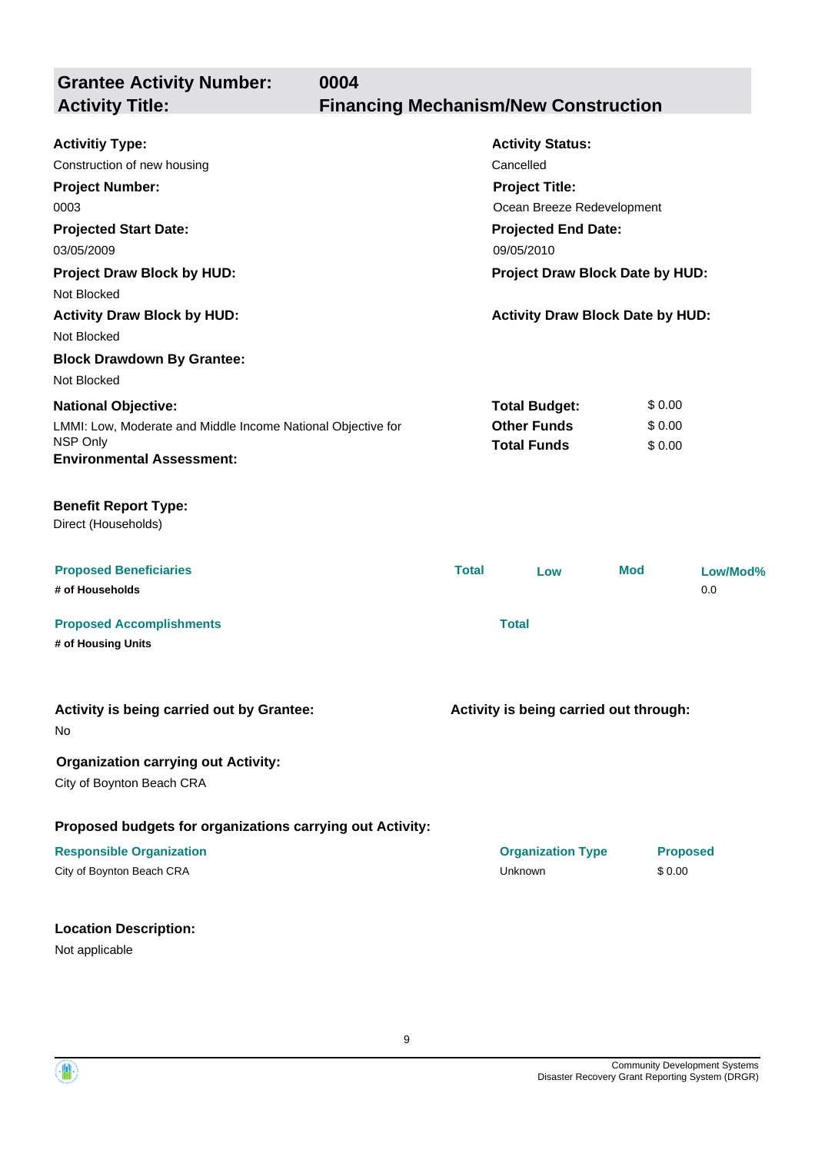| <b>Grantee Activity Number:</b><br>0004<br><b>Activity Title:</b>                                                                                                                                                                              | <b>Financing Mechanism/New Construction</b> |                                                                                                                                                                                                                       |                            |                 |
|------------------------------------------------------------------------------------------------------------------------------------------------------------------------------------------------------------------------------------------------|---------------------------------------------|-----------------------------------------------------------------------------------------------------------------------------------------------------------------------------------------------------------------------|----------------------------|-----------------|
| <b>Activitiy Type:</b><br>Construction of new housing<br><b>Project Number:</b><br>0003<br><b>Projected Start Date:</b><br>03/05/2009<br><b>Project Draw Block by HUD:</b><br>Not Blocked<br><b>Activity Draw Block by HUD:</b><br>Not Blocked |                                             | <b>Activity Status:</b><br>Cancelled<br><b>Project Title:</b><br>Ocean Breeze Redevelopment<br><b>Projected End Date:</b><br>09/05/2010<br>Project Draw Block Date by HUD:<br><b>Activity Draw Block Date by HUD:</b> |                            |                 |
| <b>Block Drawdown By Grantee:</b><br>Not Blocked<br><b>National Objective:</b><br>LMMI: Low, Moderate and Middle Income National Objective for<br>NSP Only<br><b>Environmental Assessment:</b>                                                 |                                             | <b>Total Budget:</b><br><b>Other Funds</b><br><b>Total Funds</b>                                                                                                                                                      | \$0.00<br>\$0.00<br>\$0.00 |                 |
| <b>Benefit Report Type:</b><br>Direct (Households)                                                                                                                                                                                             |                                             |                                                                                                                                                                                                                       |                            |                 |
| <b>Proposed Beneficiaries</b><br># of Households                                                                                                                                                                                               | <b>Total</b>                                | Low                                                                                                                                                                                                                   | <b>Mod</b>                 | Low/Mod%<br>0.0 |
| <b>Proposed Accomplishments</b><br># of Housing Units                                                                                                                                                                                          |                                             | <b>Total</b>                                                                                                                                                                                                          |                            |                 |
| Activity is being carried out by Grantee:<br>No                                                                                                                                                                                                |                                             | Activity is being carried out through:                                                                                                                                                                                |                            |                 |
| <b>Organization carrying out Activity:</b><br>City of Boynton Beach CRA                                                                                                                                                                        |                                             |                                                                                                                                                                                                                       |                            |                 |
| Proposed budgets for organizations carrying out Activity:                                                                                                                                                                                      |                                             |                                                                                                                                                                                                                       |                            |                 |
| <b>Responsible Organization</b><br>City of Boynton Beach CRA                                                                                                                                                                                   |                                             | <b>Organization Type</b><br>Unknown                                                                                                                                                                                   | <b>Proposed</b><br>\$0.00  |                 |
| <b>Location Description:</b><br>Not applicable                                                                                                                                                                                                 |                                             |                                                                                                                                                                                                                       |                            |                 |

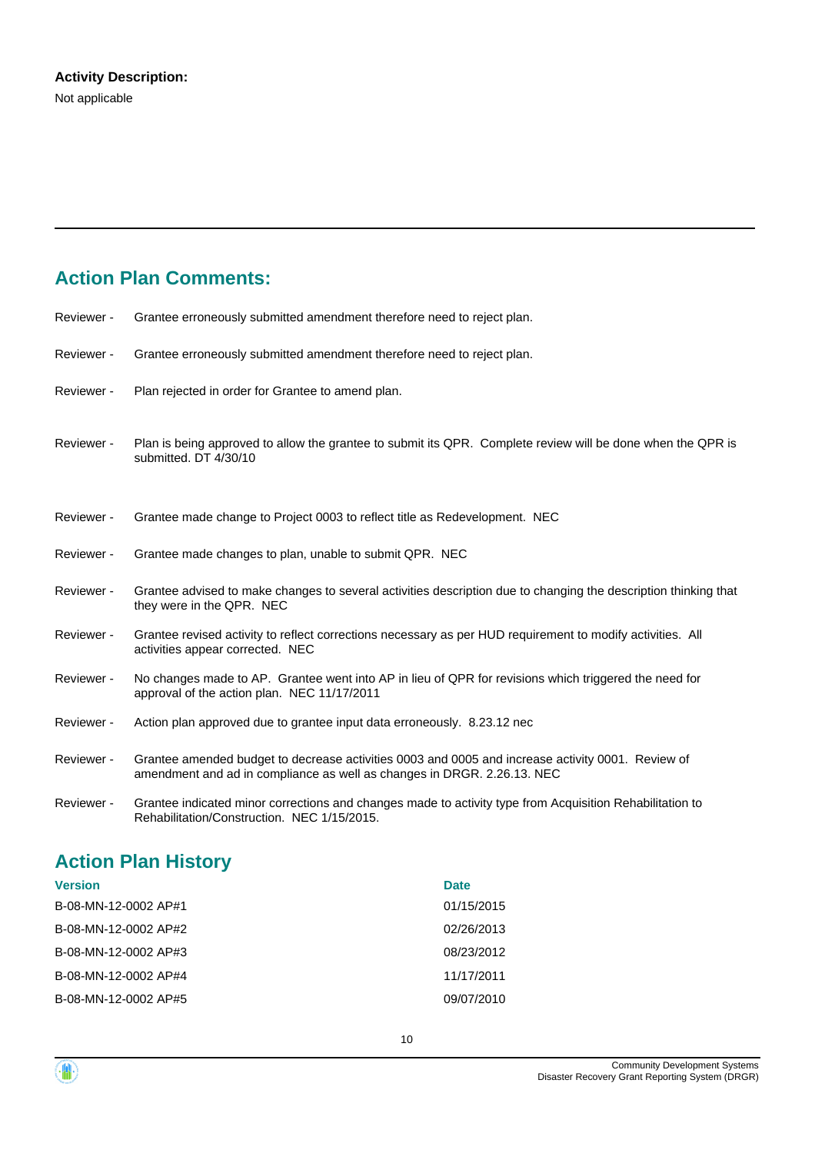# **Action Plan Comments:**

| Reviewer - | Grantee erroneously submitted amendment therefore need to reject plan.                                                                                                       |
|------------|------------------------------------------------------------------------------------------------------------------------------------------------------------------------------|
| Reviewer - | Grantee erroneously submitted amendment therefore need to reject plan.                                                                                                       |
| Reviewer - | Plan rejected in order for Grantee to amend plan.                                                                                                                            |
| Reviewer - | Plan is being approved to allow the grantee to submit its QPR. Complete review will be done when the QPR is<br>submitted. DT 4/30/10                                         |
| Reviewer - | Grantee made change to Project 0003 to reflect title as Redevelopment. NEC                                                                                                   |
| Reviewer - | Grantee made changes to plan, unable to submit QPR. NEC                                                                                                                      |
| Reviewer - | Grantee advised to make changes to several activities description due to changing the description thinking that<br>they were in the QPR. NEC                                 |
| Reviewer - | Grantee revised activity to reflect corrections necessary as per HUD requirement to modify activities. All<br>activities appear corrected. NEC                               |
| Reviewer - | No changes made to AP. Grantee went into AP in lieu of QPR for revisions which triggered the need for<br>approval of the action plan. NEC 11/17/2011                         |
| Reviewer - | Action plan approved due to grantee input data erroneously. 8.23.12 nec                                                                                                      |
| Reviewer - | Grantee amended budget to decrease activities 0003 and 0005 and increase activity 0001. Review of<br>amendment and ad in compliance as well as changes in DRGR. 2.26.13. NEC |
| Reviewer - | Grantee indicated minor corrections and changes made to activity type from Acquisition Rehabilitation to                                                                     |

# **Action Plan History**

| <b>Date</b> |
|-------------|
| 01/15/2015  |
| 02/26/2013  |
| 08/23/2012  |
| 11/17/2011  |
| 09/07/2010  |
|             |

Rehabilitation/Construction. NEC 1/15/2015.